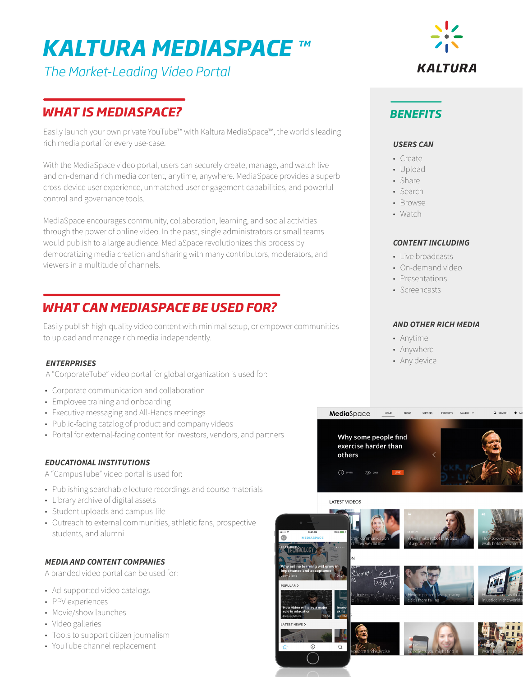# *KALTURA MEDIASPACE TM*

*The Market-Leading Video Portal*

# *WHAT IS MEDIASPACE?*

Easily launch your own private YouTube™ with Kaltura MediaSpace™, the world's leading rich media portal for every use-case.

With the MediaSpace video portal, users can securely create, manage, and watch live and on-demand rich media content, anytime, anywhere. MediaSpace provides a superb cross-device user experience, unmatched user engagement capabilities, and powerful control and governance tools.

MediaSpace encourages community, collaboration, learning, and social activities through the power of online video. In the past, single administrators or small teams would publish to a large audience. MediaSpace revolutionizes this process by democratizing media creation and sharing with many contributors, moderators, and viewers in a multitude of channels.

# *WHAT CAN MEDIASPACE BE USED FOR?*

Easily publish high-quality video content with minimal setup, or empower communities to upload and manage rich media independently.

## *ENTERPRISES*

A "CorporateTube" video portal for global organization is used for:

- Corporate communication and collaboration
- Employee training and onboarding
- Executive messaging and All-Hands meetings
- Public-facing catalog of product and company videos
- Portal for external-facing content for investors, vendors, and partners

## *EDUCATIONAL INSTITUTIONS*

A "CampusTube" video portal is used for:

- Publishing searchable lecture recordings and course materials
- Library archive of digital assets
- Student uploads and campus-life
- Outreach to external communities, athletic fans, prospective students, and alumni

## *MEDIA AND CONTENT COMPANIES*

A branded video portal can be used for:

- Ad-supported video catalogs
- PPV experiences
- Movie/show launches
- Video galleries
- Tools to support citizen journalism
- YouTube channel replacement



# *BENEFITS*

#### *USERS CAN*

- Create
- Upload
- Share
- Search
- Browse
- Watch

#### *CONTENT INCLUDING*

- Live broadcasts
- On-demand video
- Presentations
- Screencasts

#### *AND OTHER RICH MEDIA*

- Anytime
- Anywhere

MediaSpace

• Any device